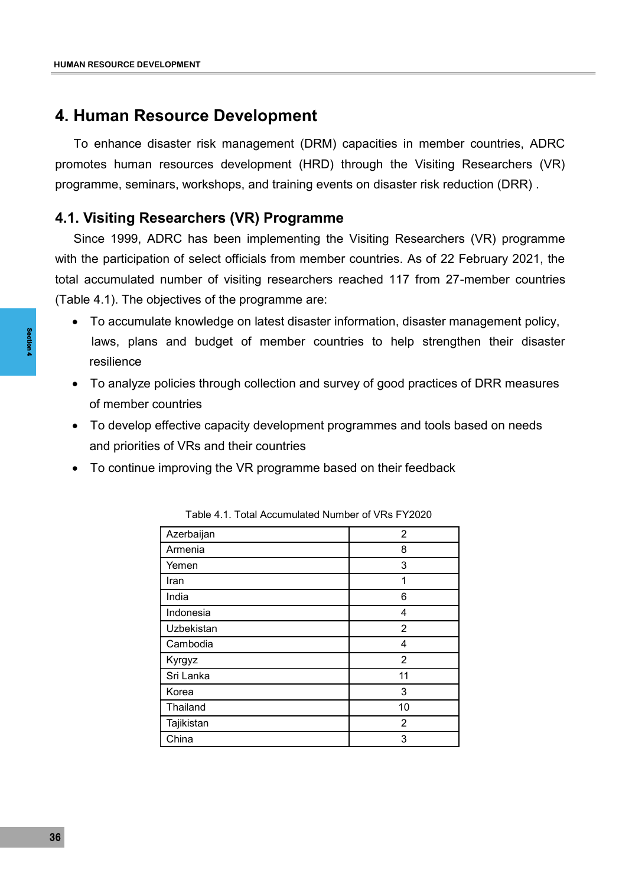# **4. Human Resource Development**

To enhance disaster risk management (DRM) capacities in member countries, ADRC promotes human resources development (HRD) through the Visiting Researchers (VR) programme, seminars, workshops, and training events on disaster risk reduction (DRR) .

### **4.1. Visiting Researchers (VR) Programme**

Since 1999, ADRC has been implementing the Visiting Researchers (VR) programme with the participation of select officials from member countries. As of 22 February 2021, the total accumulated number of visiting researchers reached 117 from 27-member countries (Table 4.1). The objectives of the programme are:

- To accumulate knowledge on latest disaster information, disaster management policy, laws, plans and budget of member countries to help strengthen their disaster resilience
- To analyze policies through collection and survey of good practices of DRR measures of member countries
- To develop effective capacity development programmes and tools based on needs and priorities of VRs and their countries
- To continue improving the VR programme based on their feedback

| Azerbaijan | $\overline{2}$ |
|------------|----------------|
| Armenia    | 8              |
| Yemen      | 3              |
| Iran       | 1              |
| India      | 6              |
| Indonesia  | 4              |
| Uzbekistan | $\overline{2}$ |
| Cambodia   | 4              |
| Kyrgyz     | $\overline{2}$ |
| Sri Lanka  | 11             |
| Korea      | 3              |
| Thailand   | 10             |
| Tajikistan | 2              |
| China      | 3              |

| Table 4.1. Total Accumulated Number of VRs FY2020 |  |  |
|---------------------------------------------------|--|--|
|---------------------------------------------------|--|--|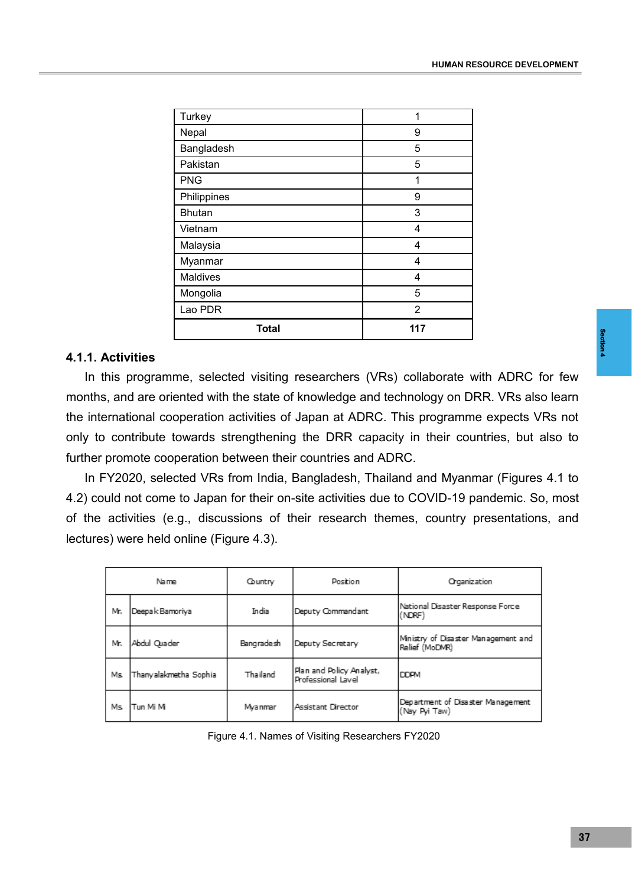| Turkey          | 1              |  |
|-----------------|----------------|--|
| Nepal           | 9              |  |
| Bangladesh      | 5              |  |
| Pakistan        | 5              |  |
| <b>PNG</b>      | 1              |  |
| Philippines     | 9              |  |
| <b>Bhutan</b>   | 3              |  |
| Vietnam         | 4              |  |
| Malaysia        | 4              |  |
| Myanmar         | 4              |  |
| <b>Maldives</b> | 4              |  |
| Mongolia        | 5              |  |
| Lao PDR         | $\overline{2}$ |  |
| <b>Total</b>    | 117            |  |

#### **4.1.1. Activities**

ed and the second to be a second to be a second to the second to the second to the second to the second to the second to the second to the second to the second to the second to the second to the second to the second to the In this programme, selected visiting researchers (VRs) collaborate with ADRC for few months, and are oriented with the state of knowledge and technology on DRR. VRs also learn the international cooperation activities of Japan at ADRC. This programme expects VRs not only to contribute towards strengthening the DRR capacity in their countries, but also to further promote cooperation between their countries and ADRC.

In FY2020, selected VRs from India, Bangladesh, Thailand and Myanmar (Figures 4.1 to 4.2) could not come to Japan for their on-site activities due to COVID-19 pandemic. So, most of the activities (e.g., discussions of their research themes, country presentations, and lectures) were held online (Figure 4.3).

| Name |                          | Country    | Position                                       | Organization                                          |  |
|------|--------------------------|------------|------------------------------------------------|-------------------------------------------------------|--|
| Mr.  | India<br>Deepak Bamoriya |            | Deputy Commandant                              | National Disaster Response Force<br>(NDRF)            |  |
| Mr.  | Abdul Quader             | Bangradesh | Deputy Secretary                               | Ministry of Disaster Management and<br>Relief (MoDMR) |  |
| Ms.  | Thanyalakmetha Sophia    | Thailand   | Plan and Policy Analyst,<br>Professional Lavel | <b>DDPM</b>                                           |  |
| Ms.  | Tun Mi Mi                | Myanmar    | Assistant Director                             | Department of Disaster Management<br>(Nay Pyi Taw)    |  |

Figure 4.1. Names of Visiting Researchers FY2020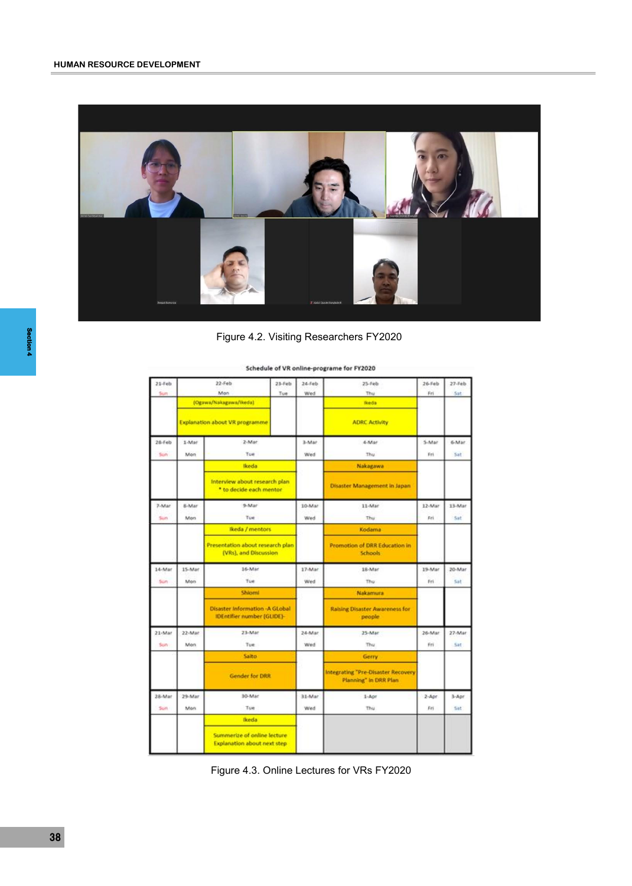

Figure 4.2. Visiting Researchers FY2020

| $21 - Feb$ |                                | $22$ -Feb                                                                  | $23 - Feb$ | $24 - Feb$ | $25 - 046$                                                  | $26 - Feb$ | $27 - F$ eb |
|------------|--------------------------------|----------------------------------------------------------------------------|------------|------------|-------------------------------------------------------------|------------|-------------|
| Sun        |                                | Man                                                                        | Tue        | Wed        | Thu                                                         | Fri        | Sat         |
|            |                                | (Ogawa/Nakagawa/ikeda)                                                     |            |            | Reda                                                        |            |             |
|            | Explanation about VR programme |                                                                            |            |            | <b>ADRC Activity</b>                                        |            |             |
| $28$ -Feb  | 1-Mar                          | 2-Mar                                                                      |            | 3-Mar      | 4-Mar                                                       | 5-Mar      | 6-Mar       |
| Suite      | Mon                            | Tue                                                                        |            | Wed        | Thu                                                         | Fri        | Sat         |
|            |                                | <b>Ikeda</b>                                                               |            |            | Nakagawa                                                    |            |             |
|            |                                | Interview about research plan<br>* to decide each mentor                   |            |            | Disaster Management in Japan                                |            |             |
| 7-Mar      | 8-Mar                          | 9-Mar                                                                      |            | 10-Mar     | 11-Mar                                                      | 12-Mar     | 13-Mar      |
| Sun        | Mon                            | Tue                                                                        |            | Wed        | Thu                                                         | Fri        | <b>Sat</b>  |
|            |                                | Ikeda / mentors                                                            |            |            | Kodama                                                      |            |             |
|            |                                | Presentation about research plan<br>(VRs), and Discussion                  |            |            | Promotion of DRR Education in<br><b>Schools</b>             |            |             |
| 14-Mar     | 15-Mar                         | 16-Mar                                                                     |            | 17-Mar     | 18-Mar                                                      | 19-Mar     | 20-Mar      |
| Sun        | Mon                            | Tue                                                                        |            | Wed        | Thu                                                         | Fri        | Sat         |
|            |                                | Shiomi                                                                     |            |            | Nakamura                                                    |            |             |
|            |                                | <b>Disaster Information -A GLobal</b><br><b>IDEntifier number (GLIDE)-</b> |            |            | <b>Raising Disaster Awareness for</b><br>people             |            |             |
| 21-Mar     | 22-Mar                         | 23-Mar                                                                     |            | 24-Mar     | 25-Mar                                                      | 26-Mar     | 27-Mar      |
| Sun        | Mon                            | Tue:                                                                       |            | Wed        | Thu                                                         | Fri        | Sat         |
|            |                                | Saito                                                                      |            |            | Gerry                                                       |            |             |
|            |                                | <b>Gender for DRR</b>                                                      |            |            | Integrating "Pre-Disaster Recovery<br>Planning" In DRR Plan |            |             |
| 28-Mar     | 29-Mar                         | 10-Mar                                                                     |            | 31-Mar     | 1-Apr                                                       | $2 - Apr$  | $3 -$ Apr   |
| Suin       | Mon.                           | Tue                                                                        |            | Wed        | Thu                                                         | Fri        | Sat         |
|            |                                | <b>Ikeda</b>                                                               |            |            |                                                             |            |             |
|            |                                | Summerize of online lecture<br><b>Explanation about next step</b>          |            |            |                                                             |            |             |

Schedule of VR online-programe for FY2020

Figure 4.3. Online Lectures for VRs FY2020